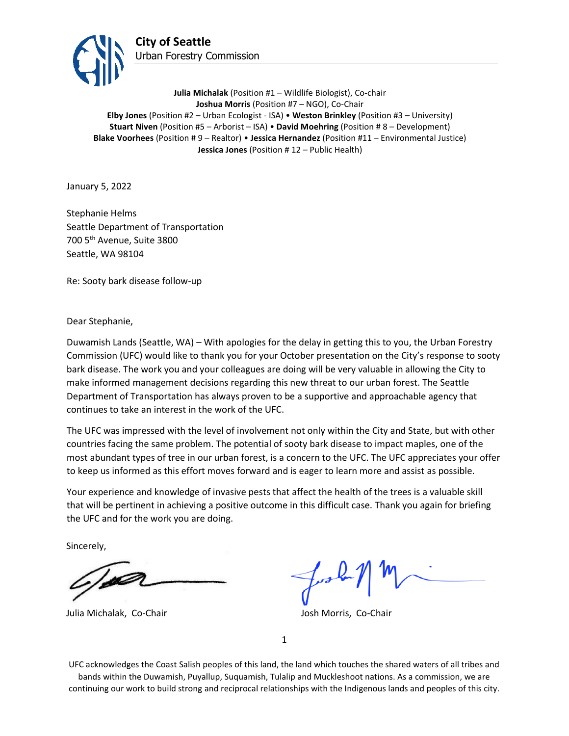

**Julia Michalak** (Position #1 – Wildlife Biologist), Co-chair **Joshua Morris** (Position #7 – NGO), Co-Chair **Elby Jones** (Position #2 – Urban Ecologist - ISA) • **Weston Brinkley** (Position #3 – University) **Stuart Niven** (Position #5 – Arborist – ISA) • **David Moehring** (Position # 8 – Development) **Blake Voorhees** (Position # 9 – Realtor) • **Jessica Hernandez** (Position #11 – Environmental Justice) **Jessica Jones** (Position # 12 – Public Health)

January 5, 2022

Stephanie Helms Seattle Department of Transportation 700 5th Avenue, Suite 3800 Seattle, WA 98104

Re: Sooty bark disease follow-up

Dear Stephanie,

Duwamish Lands (Seattle, WA) – With apologies for the delay in getting this to you, the Urban Forestry Commission (UFC) would like to thank you for your October presentation on the City's response to sooty bark disease. The work you and your colleagues are doing will be very valuable in allowing the City to make informed management decisions regarding this new threat to our urban forest. The Seattle Department of Transportation has always proven to be a supportive and approachable agency that continues to take an interest in the work of the UFC.

The UFC was impressed with the level of involvement not only within the City and State, but with other countries facing the same problem. The potential of sooty bark disease to impact maples, one of the most abundant types of tree in our urban forest, is a concern to the UFC. The UFC appreciates your offer to keep us informed as this effort moves forward and is eager to learn more and assist as possible.

Your experience and knowledge of invasive pests that affect the health of the trees is a valuable skill that will be pertinent in achieving a positive outcome in this difficult case. Thank you again for briefing the UFC and for the work you are doing.

Sincerely,

**Ista** 

Julia Michalak, Co-Chair Josh Morris, Co-Chair

1

UFC acknowledges the Coast Salish peoples of this land, the land which touches the shared waters of all tribes and bands within the Duwamish, Puyallup, Suquamish, Tulalip and Muckleshoot nations. As a commission, we are continuing our work to build strong and reciprocal relationships with the Indigenous lands and peoples of this city.